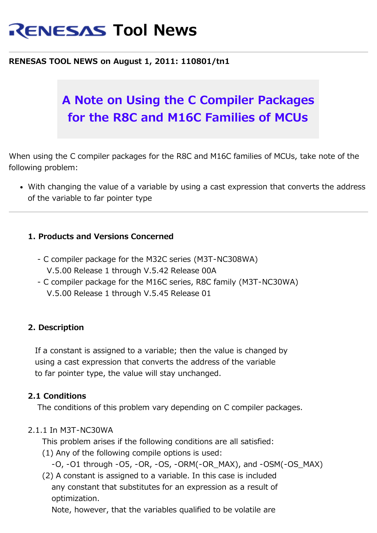# **RENESAS Tool News**

#### **RENESAS TOOL NEWS on August 1, 2011: 110801/tn1**

# **A Note on Using the C Compiler Packages for the R8C and M16C Families of MCUs**

When using the C compiler packages for the R8C and M16C families of MCUs, take note of the following problem:

With changing the value of a variable by using a cast expression that converts the address of the variable to far pointer type

#### **1. Products and Versions Concerned**

- C compiler package for the M32C series (M3T-NC308WA) V.5.00 Release 1 through V.5.42 Release 00A
- C compiler package for the M16C series, R8C family (M3T-NC30WA) V.5.00 Release 1 through V.5.45 Release 01

#### **2. Description**

 If a constant is assigned to a variable; then the value is changed by using a cast expression that converts the address of the variable to far pointer type, the value will stay unchanged.

#### **2.1 Conditions**

The conditions of this problem vary depending on C compiler packages.

#### 2.1.1 In M3T-NC30WA

This problem arises if the following conditions are all satisfied:

- (1) Any of the following compile options is used:
	- -O, -O1 through -O5, -OR, -OS, -ORM(-OR\_MAX), and -OSM(-OS\_MAX)
- (2) A constant is assigned to a variable. In this case is included any constant that substitutes for an expression as a result of optimization.

Note, however, that the variables qualified to be volatile are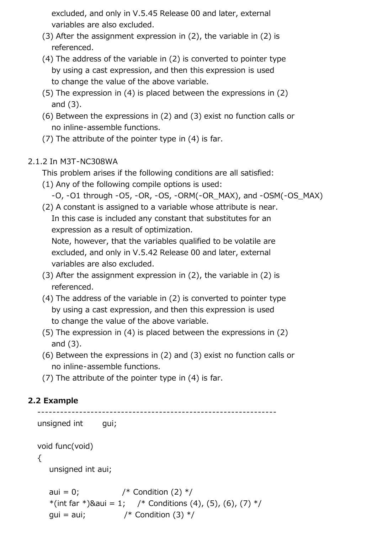excluded, and only in V.5.45 Release 00 and later, external variables are also excluded.

- (3) After the assignment expression in (2), the variable in (2) is referenced.
- (4) The address of the variable in (2) is converted to pointer type by using a cast expression, and then this expression is used to change the value of the above variable.
- (5) The expression in (4) is placed between the expressions in (2) and (3).
- (6) Between the expressions in (2) and (3) exist no function calls or no inline-assemble functions.
- (7) The attribute of the pointer type in (4) is far.

### 2.1.2 In M3T-NC308WA

This problem arises if the following conditions are all satisfied:

- (1) Any of the following compile options is used:
	- -O, -O1 through -O5, -OR, -OS, -ORM(-OR\_MAX), and -OSM(-OS\_MAX)
- (2) A constant is assigned to a variable whose attribute is near. In this case is included any constant that substitutes for an

expression as a result of optimization.

 Note, however, that the variables qualified to be volatile are excluded, and only in V.5.42 Release 00 and later, external variables are also excluded.

- (3) After the assignment expression in (2), the variable in (2) is referenced.
- (4) The address of the variable in (2) is converted to pointer type by using a cast expression, and then this expression is used to change the value of the above variable.
- (5) The expression in (4) is placed between the expressions in (2) and (3).
- (6) Between the expressions in (2) and (3) exist no function calls or no inline-assemble functions.

(7) The attribute of the pointer type in (4) is far.

## **2.2 Example**

```
 ---------------------------------------------------------------
unsigned int gui;
 void func(void)
 {
    unsigned int aui;
   aui = 0; / Condition (2) */*(int far *)&aui = 1; /* Conditions (4), (5), (6), (7) */
   gui = aui; \frac{1}{2} /* Condition (3) \frac{1}{2}
```